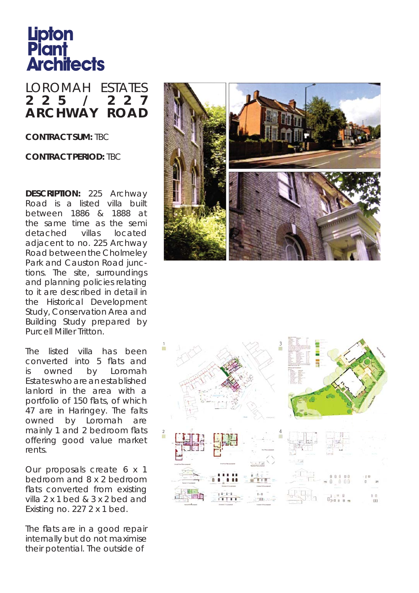## **Lipton<br>Plant<br>Architects**

## LOROMAH ESTATES **2 2 5 / 2 2 7 A R C H W A Y R O A D**

**CONTRACT SUM:** TBC

**CONTRACT PERIOD:** TBC

**DESCRIPTION:** 225 Archway Road is a listed villa built between 1886 & 1888 at the same time as the semi detached villas located adjacent to no. 225 Archway Road between the Cholmeley Park and Causton Road junctions. The site, surroundings and planning policies relating to it are described in detail in the Historical Development Study, Conservation Area and Building Study prepared by Purcell Miller Tritton.

The listed villa has been converted into 5 flats and is owned by Loromah Estates who are an established lanlord in the area with a portfolio of 150 flats, of which 47 are in Haringey. The falts owned by Loromah are mainly 1 and 2 bedroom flats offering good value market rents.

Our proposals create 6 x 1 bedroom and 8 x 2 bedroom flats converted from existing villa 2 x 1 bed & 3 x 2 bed and Existing no. 227 2 x 1 bed.

The flats are in a good repair internally but do not maximise their potential. The outside of